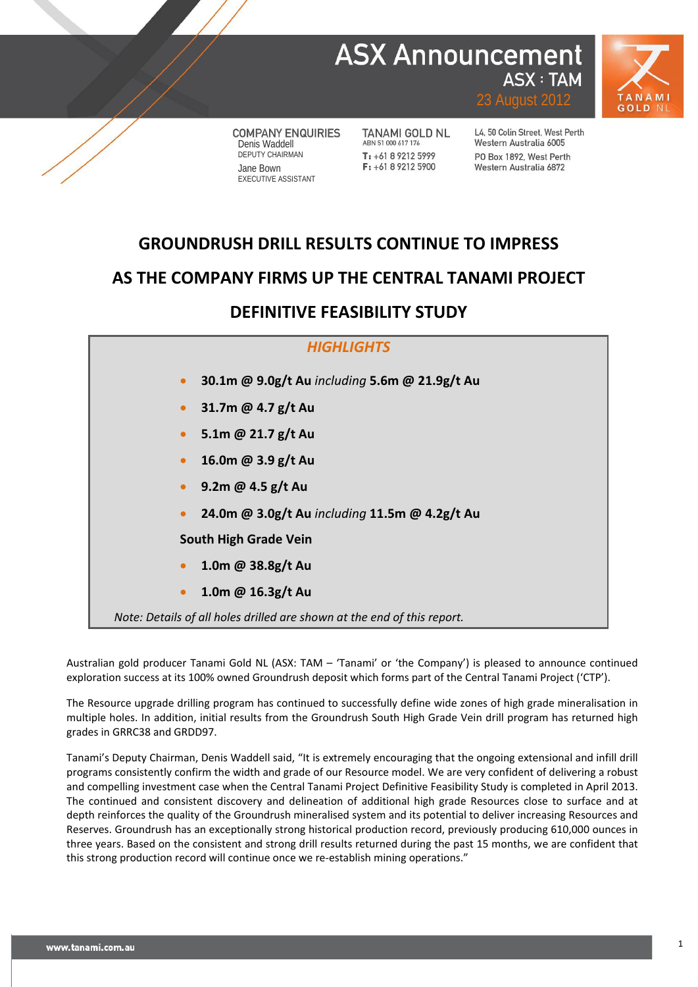## **ASX Announcement ASX: TAM**



**COMPANY ENQUIRIES** Denis Waddell DEPUTY CHAIRMAN Jane Bown EXECUTIVE ASSISTANT

TANAMI GOLD NL ABN 51 000 617 176  $T: +61892125999$  $F: +61892125900$ 

L4, 50 Colin Street, West Perth Western Australia 6005 PO Box 1892 West Perth Western Australia 6872

23 August 2012

## **GROUNDRUSH DRILL RESULTS CONTINUE TO IMPRESS**

### **AS THE COMPANY FIRMS UP THE CENTRAL TANAMI PROJECT**

## **DEFINITIVE FEASIBILITY STUDY**



Australian gold producer Tanami Gold NL (ASX: TAM – 'Tanami' or 'the Company') is pleased to announce continued exploration success at its 100% owned Groundrush deposit which forms part of the Central Tanami Project ('CTP').

The Resource upgrade drilling program has continued to successfully define wide zones of high grade mineralisation in multiple holes. In addition, initial results from the Groundrush South High Grade Vein drill program has returned high grades in GRRC38 and GRDD97.

Tanami's Deputy Chairman, Denis Waddell said, "It is extremely encouraging that the ongoing extensional and infill drill programs consistently confirm the width and grade of our Resource model. We are very confident of delivering a robust and compelling investment case when the Central Tanami Project Definitive Feasibility Study is completed in April 2013. The continued and consistent discovery and delineation of additional high grade Resources close to surface and at depth reinforces the quality of the Groundrush mineralised system and its potential to deliver increasing Resources and Reserves. Groundrush has an exceptionally strong historical production record, previously producing 610,000 ounces in three years. Based on the consistent and strong drill results returned during the past 15 months, we are confident that this strong production record will continue once we re-establish mining operations."

**1**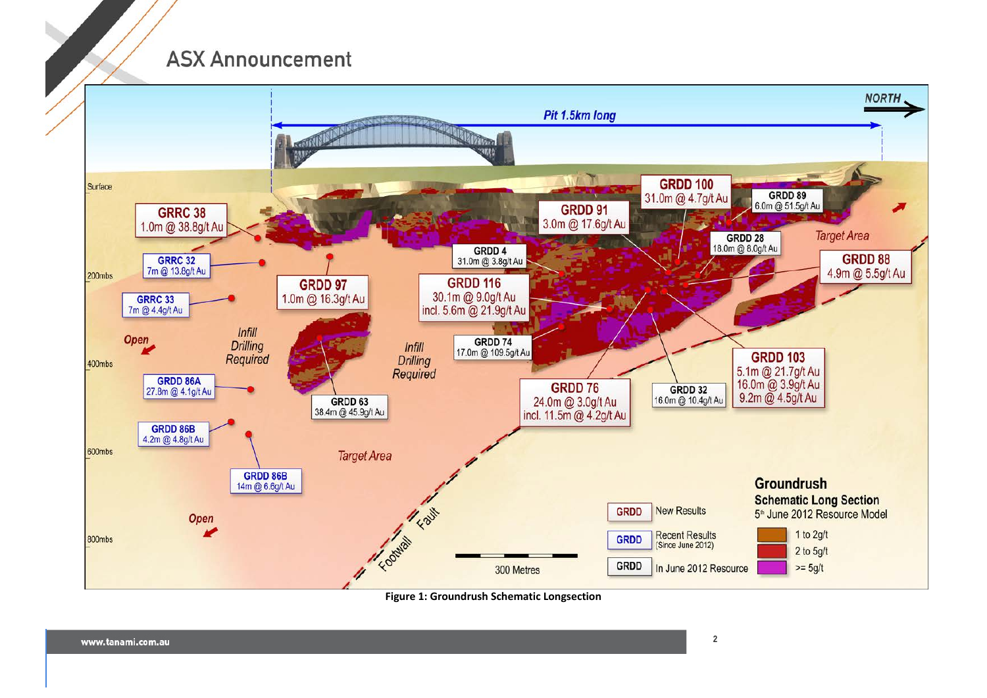

**Figure 1: Groundrush Schematic Longsection**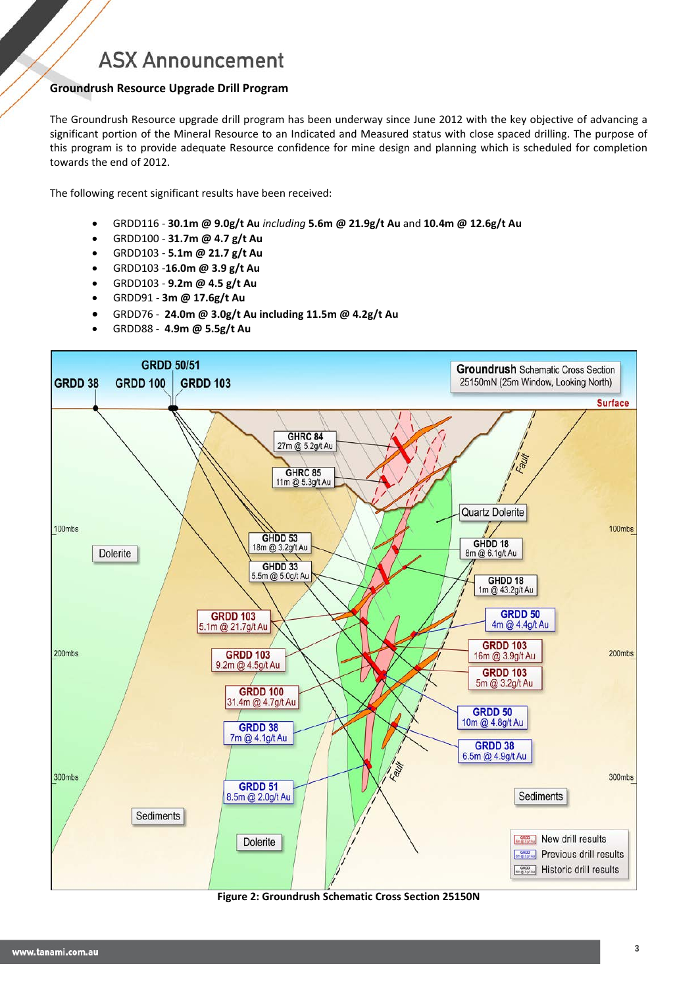### **Groundrush Resource Upgrade Drill Program**

The Groundrush Resource upgrade drill program has been underway since June 2012 with the key objective of advancing a significant portion of the Mineral Resource to an Indicated and Measured status with close spaced drilling. The purpose of this program is to provide adequate Resource confidence for mine design and planning which is scheduled for completion towards the end of 2012.

The following recent significant results have been received:

- GRDD116 **30.1m @ 9.0g/t Au** *including* **5.6m @ 21.9g/t Au** and **10.4m @ 12.6g/t Au**
- GRDD100 **31.7m @ 4.7 g/t Au**
- GRDD103 **5.1m @ 21.7 g/t Au**
- GRDD103 -**16.0m @ 3.9 g/t Au**
- GRDD103 **9.2m @ 4.5 g/t Au**
- GRDD91 **3m @ 17.6g/t Au**
- GRDD76 **24.0m @ 3.0g/t Au including 11.5m @ 4.2g/t Au**
- GRDD88 **4.9m @ 5.5g/t Au**



**Figure 2: Groundrush Schematic Cross Section 25150N**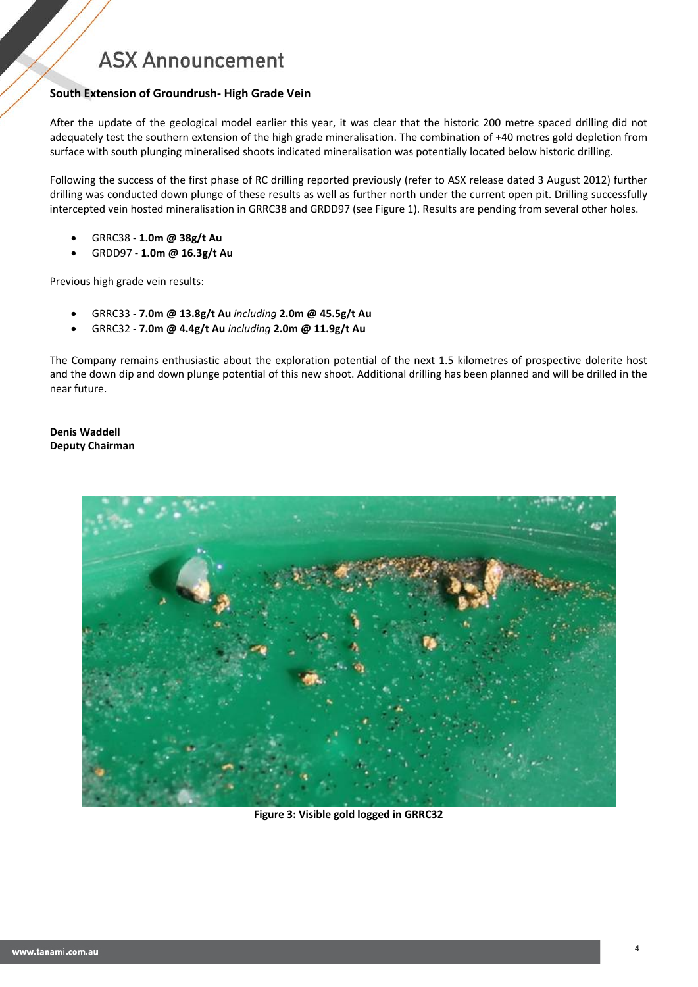#### **South Extension of Groundrush- High Grade Vein**

After the update of the geological model earlier this year, it was clear that the historic 200 metre spaced drilling did not adequately test the southern extension of the high grade mineralisation. The combination of +40 metres gold depletion from surface with south plunging mineralised shoots indicated mineralisation was potentially located below historic drilling.

Following the success of the first phase of RC drilling reported previously (refer to ASX release dated 3 August 2012) further drilling was conducted down plunge of these results as well as further north under the current open pit. Drilling successfully intercepted vein hosted mineralisation in GRRC38 and GRDD97 (see Figure 1). Results are pending from several other holes.

- GRRC38 **1.0m @ 38g/t Au**
- GRDD97 **1.0m @ 16.3g/t Au**

Previous high grade vein results:

- GRRC33 **7.0m @ 13.8g/t Au** *including* **2.0m @ 45.5g/t Au**
- GRRC32 **7.0m @ 4.4g/t Au** *including* **2.0m @ 11.9g/t Au**

The Company remains enthusiastic about the exploration potential of the next 1.5 kilometres of prospective dolerite host and the down dip and down plunge potential of this new shoot. Additional drilling has been planned and will be drilled in the near future.

**Denis Waddell Deputy Chairman**



**Figure 3: Visible gold logged in GRRC32**